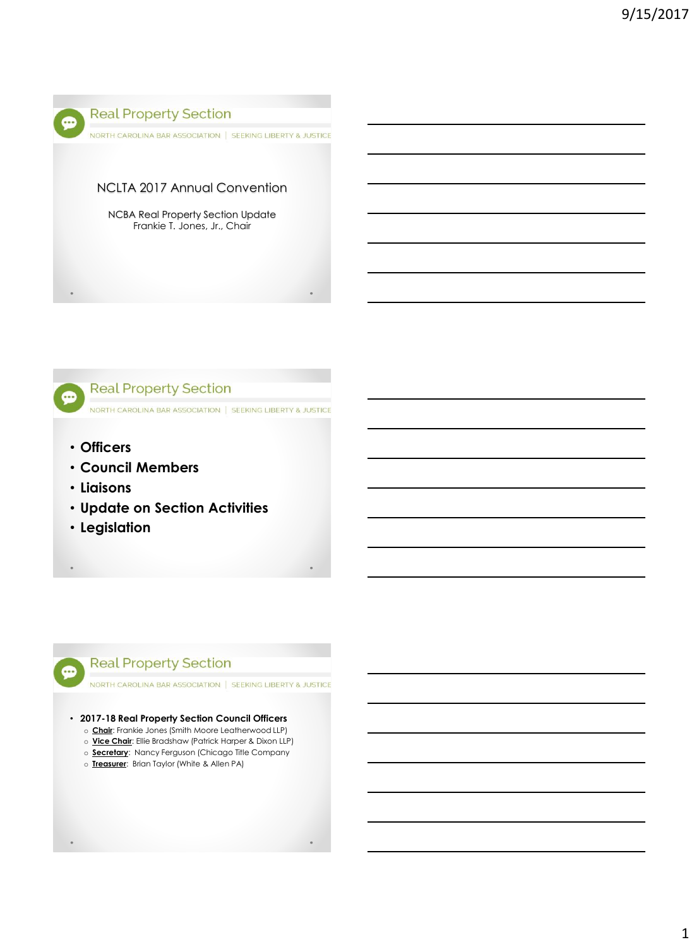



- **Officers**
- **Council Members**
- **Liaisons**
- **Update on Section Activities**
- **Legislation**

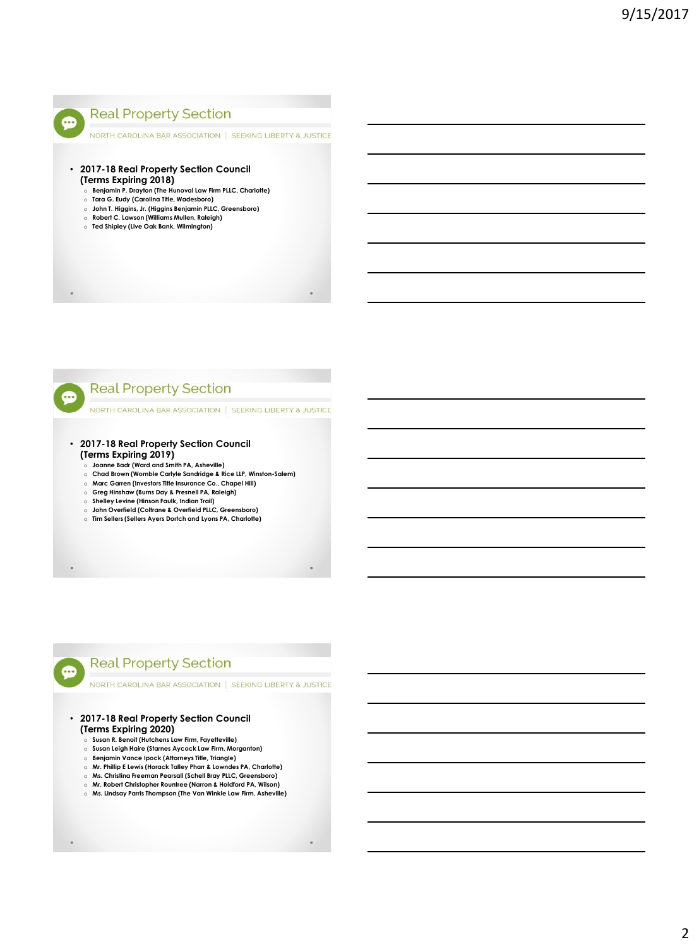

NORTH CAROLINA BAR ASSOCIATION | SEEKING LIBERTY & JUSTICE

- **2017-18 Real Property Section Council (Terms Expiring 2018)**
	- o **Benjamin P. Drayton (The Hunoval Law Firm PLLC, Charlotte)** o **Tara G. Eudy (Carolina Title, Wadesboro)**
	- o **John T. Higgins, Jr. (Higgins Benjamin PLLC, Greensboro)**
	- o **Robert C. Lawson (Williams Mullen, Raleigh)**
	- o **Ted Shipley (Live Oak Bank, Wilmington)**

**Real Property Section** 

NORTH CAROLINA BAR ASSOCIATION | SEEKING LIBERTY & JUSTICE

- **2017-18 Real Property Section Council (Terms Expiring 2019)**
	- o **Joanne Badr (Ward and Smith PA, Asheville)**
	- o **Chad Brown (Womble Carlyle Sandridge & Rice LLP, Winston-Salem)**
	- o **Marc Garren (Investors Title Insurance Co., Chapel Hill)**
	- o **Greg Hinshaw (Burns Day & Presnell PA, Raleigh)**
	- o **Shelley Levine (Hinson Faulk, Indian Trail)**
	- o **John Overfield (Coltrane & Overfield PLLC, Greensboro)** o **Tim Sellers (Sellers Ayers Dortch and Lyons PA, Charlotte)**
- 

œ

...

## **Real Property Section**

NORTH CAROLINA BAR ASSOCIATION | SEEKING LIBERTY & JUSTICE

- **2017-18 Real Property Section Council (Terms Expiring 2020)**
	- o **Susan R. Benoit (Hutchens Law Firm, Fayetteville)**
	- o **Susan Leigh Haire (Starnes Aycock Law Firm, Morganton)**
	- o **Benjamin Vance Ipock (Attorneys Title, Triangle)**
	- o **Mr. Phillip E Lewis (Horack Talley Pharr & Lowndes PA, Charlotte)**
	- o **Ms. Christina Freeman Pearsall (Schell Bray PLLC, Greensboro)**
	- o **Mr. Robert Christopher Rountree (Narron & Holdford PA, Wilson)** o **Ms. Lindsay Parris Thompson (The Van Winkle Law Firm, Asheville)**
-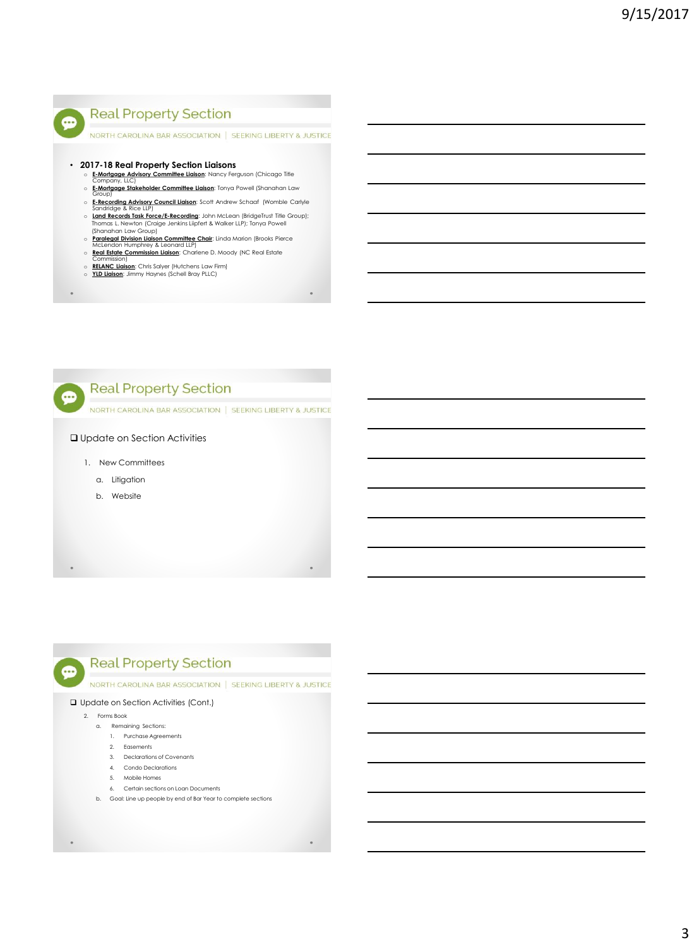

NORTH CAROLINA BAR ASSOCIATION | SEEKING LIBERTY & JUSTICE

- **2017-18 Real Property Section Liaisons**
	- o **E-Mortgage Advisory Committee Liaison**: Nancy Ferguson (Chicago Title Company, LLC)
	- o **E-Mortgage Stakeholder Committee Liaison**: Tonya Powell (Shanahan Law Group)
	- o **E-Recording Advisory Council Liaison**: Scott Andrew Schaaf (Womble Carlyle Sandridge & Rice LLP)
	- o **Land Records Task Force/E-Recording**: John McLean (BridgeTrust Title Group);<br>Thomas L. Newton (Craige Jenkins Liipfert & Walker LLP); Tonya Powell<br>(Shanahan Law Group)
	- o Paralegal Division Liaison Committee Chair: Linda Marion (Brooks Pierce<br>McLendon Humphrey & Leonard LLP)<br>o <u>Real Estate Commission Liaison</u>: Charlene D. Moody (NC Real Estate
	-
	- Commission) o **RELANC Liaison**: Chris Salyer (Hutchens Law Firm) o **YLD Liaison**: Jimmy Haynes (Schell Bray PLLC)
	-
- 



#### Update on Section Activities

- 1. New Committees
	- a. Litigation
	- b. Website

⊕

## **Real Property Section**

NORTH CAROLINA BAR ASSOCIATION | SEEKING LIBERTY & JUSTICE

#### Update on Section Activities (Cont.)

- 2. Forms Book
	- a. Remaining Sections:
		- 1. Purchase Agreements
		- 2. Easements
		- 3. Declarations of Covenants
		- 4. Condo Declarations
		- 5. Mobile Homes
		- 6. Certain sections on Loan Documents
	- b. Goal: Line up people by end of Bar Year to complete sections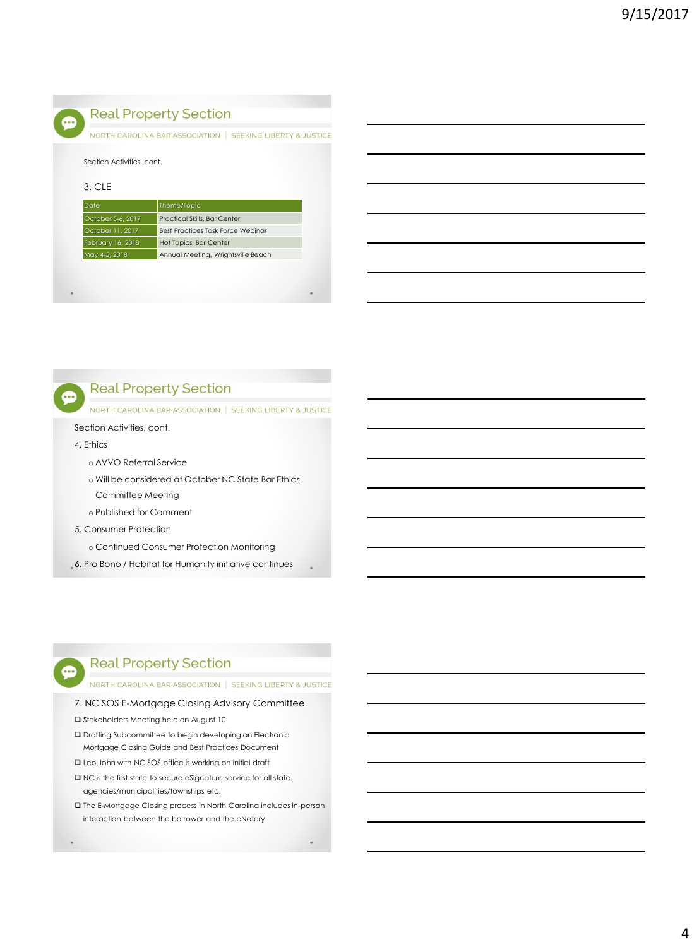

NORTH CAROLINA BAR ASSOCIATION | SEEKING LIBERTY & JUSTICE

#### 3. CLE

| Date              | Theme/Topic                        |
|-------------------|------------------------------------|
| October 5-6, 2017 | Practical Skills, Bar Center       |
| October 11, 2017  | Best Practices Task Force Webinar  |
| February 16, 2018 | Hot Topics, Bar Center             |
| May 4-5, 2018     | Annual Meeting, Wrightsville Beach |
|                   |                                    |



NORTH CAROLINA BAR ASSOCIATION | SEEKING LIBERTY & JUSTICE

### Section Activities, cont.

#### 4. Ethics

...

- o AVVO Referral Service
- o Will be considered at October NC State Bar Ethics Committee Meeting
- o Published for Comment
- 5. Consumer Protection
	- o Continued Consumer Protection Monitoring
- 6. Pro Bono / Habitat for Humanity initiative continues

## **Real Property Section**

### NORTH CAROLINA BAR ASSOCIATION | SEEKING LIBERTY & JUSTICE

#### 7. NC SOS E-Mortgage Closing Advisory Committee

- $\square$  Stakeholders Meeting held on August 10
- Drafting Subcommittee to begin developing an Electronic Mortgage Closing Guide and Best Practices Document
- Leo John with NC SOS office is working on initial draft
- $\square$  NC is the first state to secure eSignature service for all state agencies/municipalities/townships etc.
- The E-Mortgage Closing process in North Carolina includes in-person interaction between the borrower and the eNotary

...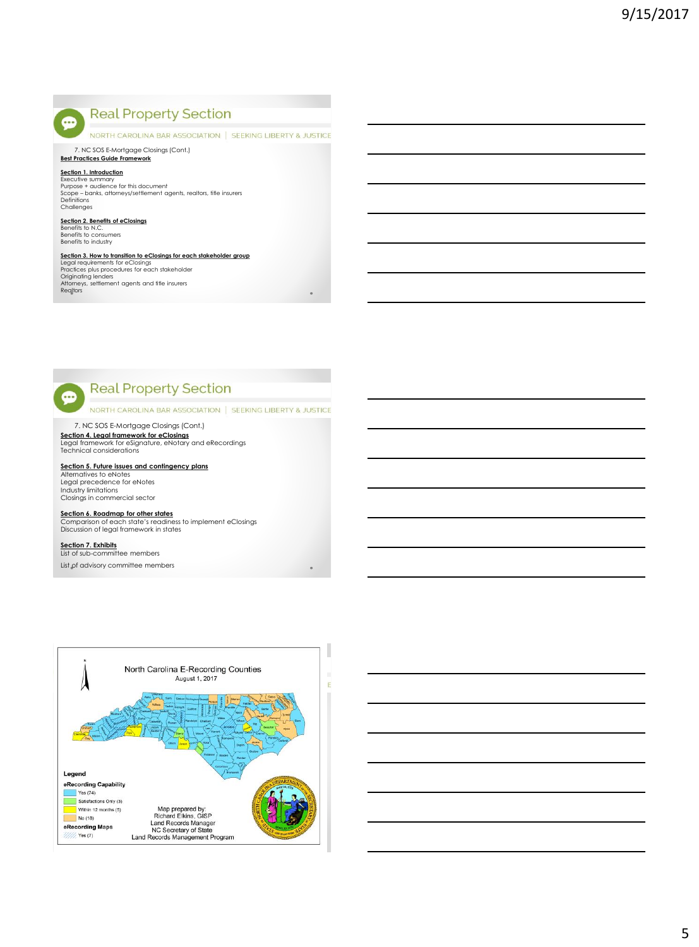NORTH CAROLINA BAR ASSOCIATION | SEEKING LIBERTY & JUSTICE

7. NC SOS E-Mortgage Closings (Cont.) **Best Practices Guide Framework**

 $\bullet$ 

**Section 1. Introduction** Executive summary Purpose + audience for this document Scope – banks, attorneys/settlement agents, realtors, title insurers Definitions **Challenges** 

## **Section 2. Benefits of eClosings** Benefits to N.C.

Benefits to consumers Benefits to industry

# **Section 3. How to transition to eClosings for each stakeholder group**<br>Legal requirements for eClosings<br>Practices plus procedures for each stakeholder

Originating lenders Attorneys, settlement agents and title insurers Realtors



NORTH CAROLINA BAR ASSOCIATION | SEEKING LIBERTY & JUSTICE

7. NC SOS E-Mortgage Closings (Cont.)

**Section 4. Legal framework for eClosings** Legal framework for eSignature, eNotary and eRecordings Technical considerations

**Section 5. Future issues and contingency plans** Alternatives to eNotes Legal precedence for eNotes Industry limitations Closings in commercial sector

**Section 6. Roadmap for other states** Comparison of each state's readiness to implement eClosings Discussion of legal framework in states

#### **Section 7. Exhibits** List of sub-committee members

⊕

List of advisory committee members

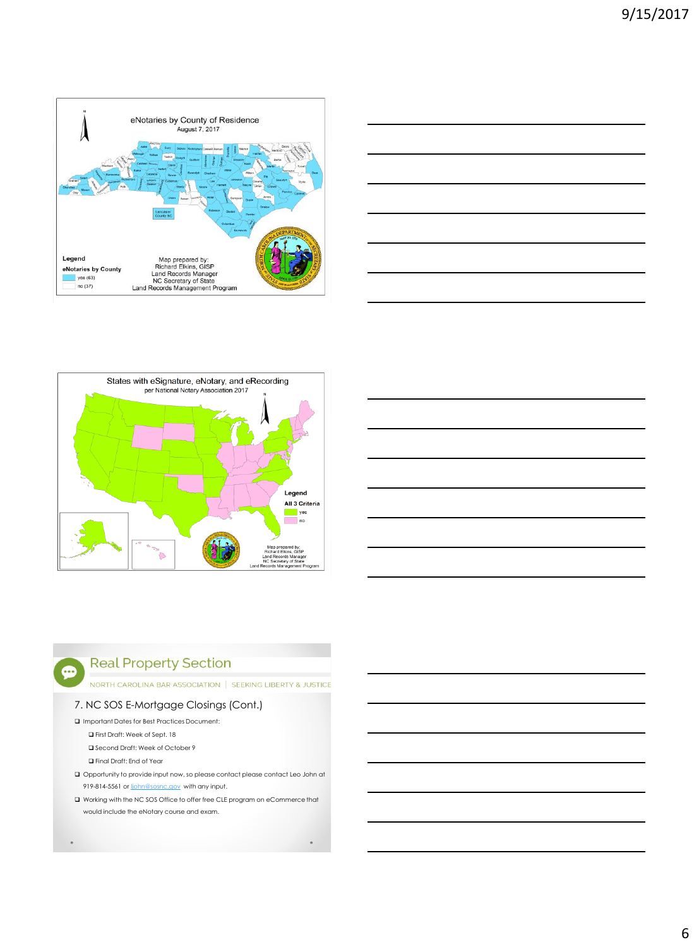







NORTH CAROLINA BAR ASSOCIATION | SEEKING LIBERTY & JUSTICE

## 7. NC SOS E-Mortgage Closings (Cont.)

Important Dates for Best Practices Document:

First Draft: Week of Sept. 18

■ Second Draft: Week of October 9

Final Draft: End of Year

- $\Box$  Opportunity to provide input now, so please contact please contact Leo John at 919-814-5561 or [ljohn@sosnc.gov](mailto:ljohn@sosnc.gov) with any input.
- Working with the NC SOS Office to offer free CLE program on eCommerce that would include the eNotary course and exam.

 $\bullet$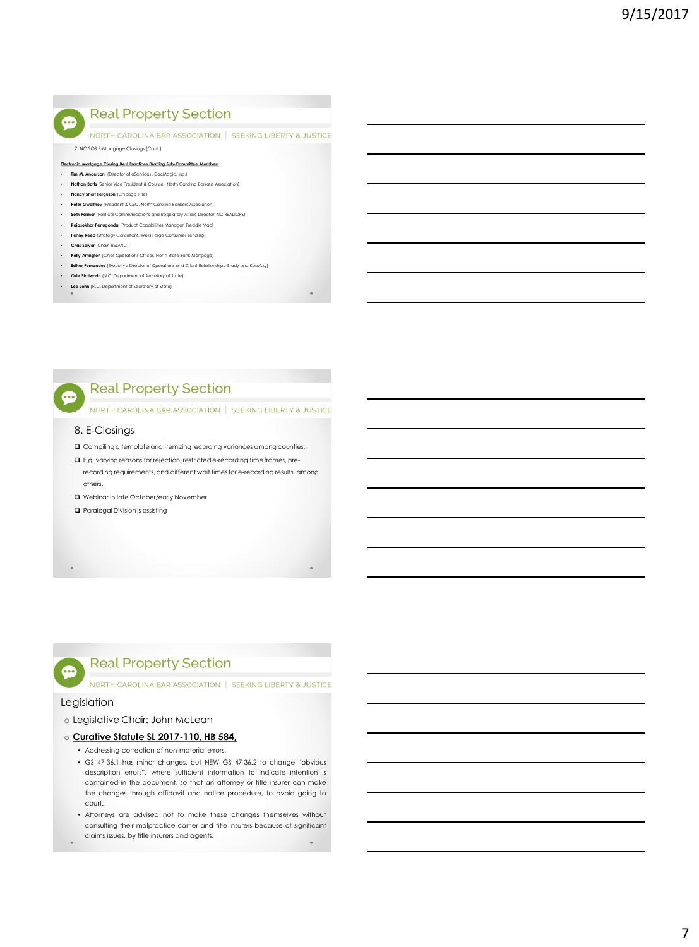NORTH CAROLINA BAR ASSOCIATION | SEEKING LIBERTY & JUSTICE

#### 7. NC SOS E-Mortgage Closings (Cont.)

- **Electronic Mortgage Closing Best Practices Drafting Sub-Committee Members**
- **Tim M. Anderson** (Director of eServices , DocMagic, Inc.)
- **Nathan Batts** (Senior Vice President & Counsel, North Carolina Bankers Association)
- **Nancy Short Ferguson** (Chicago Title)
- **Peter Gwaltney** (President & CEO, North Carolina Bankers Association)
- **Seth Palmer** (Political Communications and Regulatory Affairs Director, NC REALTORS)
- **Rajasekhar Penugonda** (Product Capabilities Manager, Freddie Mac) • **Penny Reed** (Strategy Consultant, Wells Fargo Consumer Lending)
- 
- **Chris Salyer** (Chair, RELANC)
- **Kelly Arrington** (Chief Operations Officer, North State Bank Mortgage)
- **Esther Fernandes** (Executive Director of Operations and Client Relationships, Brady and Kosofsky) • **Ozie Stallworth** (N.C. Department of Secretary of State)
- 
- **Leo John** (N.C. Department of Secretary of State)

## **Real Property Section**

NORTH CAROLINA BAR ASSOCIATION | SEEKING LIBERTY & JUSTICE

#### 8. E-Closings

- Compiling a template and itemizing recording variances among counties.
- E.g. varying reasons for rejection, restricted e-recording time frames, prerecording requirements, and different wait times for e-recording results, among others.
- Webinar in late October/early November
- Paralegal Division is assisting
- 

## **Real Property Section**

NORTH CAROLINA BAR ASSOCIATION | SEEKING LIBERTY & JUSTICE

### Legislation

600

### o Legislative Chair: John McLean

- o **Curative Statute SL 2017-110, HB 584,**
	- Addressing correction of non-material errors.
	- GS 47-36.1 has minor changes, but NEW GS 47-36.2 to change "obvious description errors", where sufficient information to indicate intention is contained in the document, so that an attorney or title insurer can make the changes through affidavit and notice procedure, to avoid going to court.
	- Attorneys are advised not to make these changes themselves without consulting their malpractice carrier and title insurers because of significant claims issues, by title insurers and agents.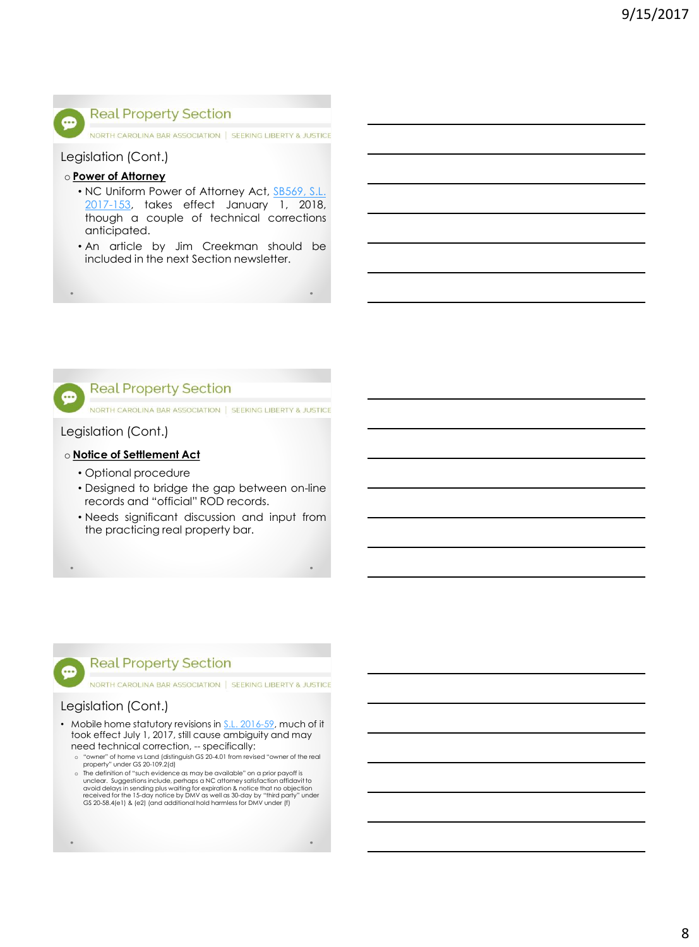

NORTH CAROLINA BAR ASSOCIATION | SEEKING LIBERTY & JUSTICE

Legislation (Cont.)

## o **Power of Attorney**

- NC Uniform Power of Attorney Act, SB569, S.L. [2017-153,](http://www.ncga.state.nc.us/gascripts/BillLookUp/BillLookUp.pl?Session=2017&BillID=S569&submitButton=Go) takes effect January 1, 2018, though a couple of technical corrections anticipated.
- An article by Jim Creekman should be included in the next Section newsletter.



NORTH CAROLINA BAR ASSOCIATION | SEEKING LIBERTY & JUSTICE

## Legislation (Cont.)

## o **Notice of Settlement Act**

- Optional procedure
- Designed to bridge the gap between on-line records and "official" ROD records.
- Needs significant discussion and input from the practicing real property bar.



NORTH CAROLINA BAR ASSOCIATION | SEEKING LIBERTY & JUSTICE

## Legislation (Cont.)

...

- Mobile home statutory revisions in [S.L. 2016-59,](http://www.ncga.state.nc.us/gascripts/BillLookUp/BillLookUp.pl?Session=2015&BillID=h870&submitButton=Go) much of it took effect July 1, 2017, still cause ambiguity and may need technical correction, -- specifically:
	- o "owner" of home vs Land (distinguish GS 20-4.01 from revised "owner of the real property" under GS 20-109.2(d)
	- o The definition of "such evidence as may be available" on a prior payoff is unclear. Suggestions include, perhaps a NC attorney satisfaction affidavit to avoid delays in sending plus waiting for expiration & notice that no objection<br>received for the 15-day notice by DMV as well as 30-day by "third party" under<br>GS 20-58.4(e1) & (e2) (and additional hold harmless for DMV unde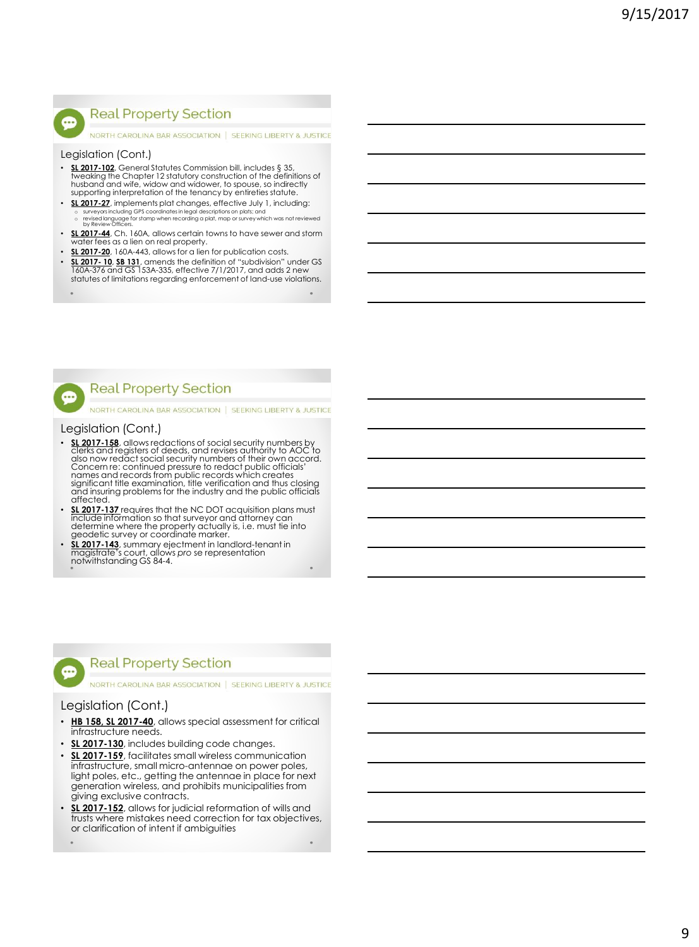NORTH CAROLINA BAR ASSOCIATION | SEEKING LIBERTY & JUSTICE

#### Legislation (Cont.)

- **SL 2017-102**, General Statutes Commission bill, includes § 35, tweaking the Chapter 12 statutory construction of the definitions of<br>husband and wife, widow and widower, to spouse, so indirectly<br>supporting interpretation of the tenancy by entireties statute.
- **SL 2017-27**, implements plat changes, effective July 1, including: o surveyors including GPS coordinates in legal descriptions on plats; and o revised language for stamp when recording a plat, map or survey which was not reviewed by Review Officers.
- **SL 2017-44**, Ch. 160A, allows certain towns to have sewer and storm water fees as a lien on real property.
- **SL 2017-20**, 160A-443, allows for a lien for publication costs. • **SL 2017- 10**, **SB 131**, amends the definition of "subdivision" under GS 160A-376 and GS 153A-335, effective 7/1/2017, and adds 2 new statutes of limitations regarding enforcement of land-use violations.
- 

...

Æ

## **Real Property Section**

NORTH CAROLINA BAR ASSOCIATION | SEEKING LIBERTY & JUSTICE

#### Legislation (Cont.)

- **SL 2017-158**, allows redactions of social security numbers by clerks and registers of deeds, and revises authority to AOC to<br>also now redact social security numbers of their own accord.<br>Concern re: continued pressure to redact public officials'<br>names and records from public records w and insuring problems for the industry and the public officials affected.
- **SL 2017-137** requires that the NC DOT acquisition plans must include information so that surveyor and attorney can determine where the property actually is, i.e. must tie into geodetic survey or coordinate marker.
- **SL 2017-143**, summary ejectment in landlord-tenant in magistrate's court, allows *pro* se representation notwithstanding GS 84-4.



NORTH CAROLINA BAR ASSOCIATION | SEEKING LIBERTY & JUSTICE

## Legislation (Cont.)

600

- **HB 158, SL 2017-40**, allows special assessment for critical infrastructure needs.
- **SL 2017-130**, includes building code changes.
- **SL 2017-159**, facilitates small wireless communication infrastructure, small micro-antennae on power poles, light poles, etc., getting the antennae in place for next generation wireless, and prohibits municipalities from giving exclusive contracts.
- **SL 2017-152**, allows for judicial reformation of wills and trusts where mistakes need correction for tax objectives, or clarification of intent if ambiguities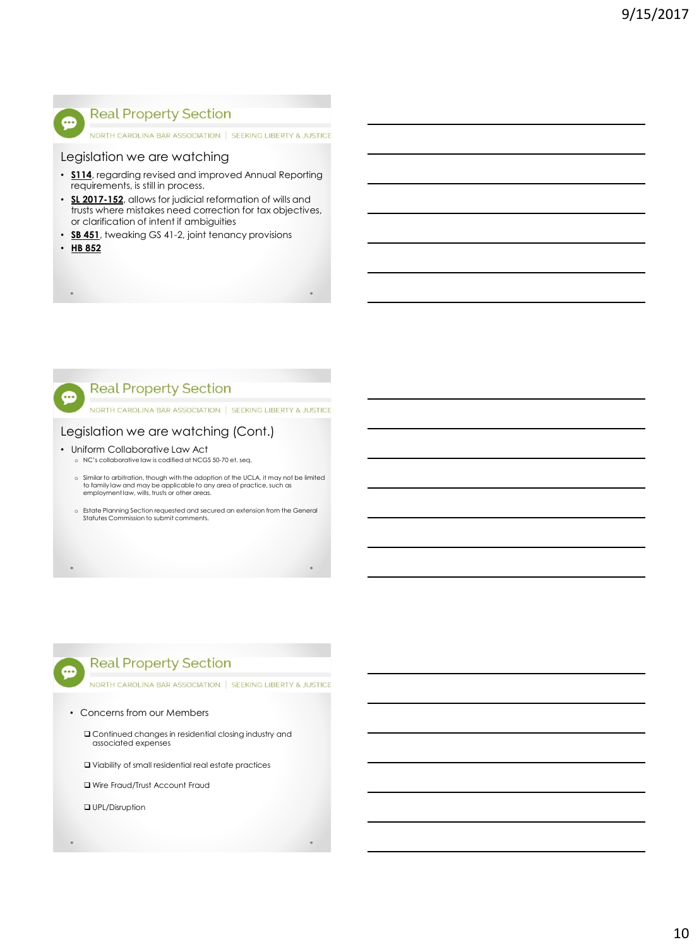

NORTH CAROLINA BAR ASSOCIATION | SEEKING LIBERTY & JUSTICE

## Legislation we are watching

- **S114**, regarding revised and improved Annual Reporting requirements, is still in process.
- **SL 2017-152**, allows for judicial reformation of wills and trusts where mistakes need correction for tax objectives, or clarification of intent if ambiguities
- **SB 451**, tweaking GS 41-2, joint tenancy provisions
- **HB 852**



NORTH CAROLINA BAR ASSOCIATION | SEEKING LIBERTY & JUSTICE

## Legislation we are watching (Cont.)

- Uniform Collaborative Law Act
	- o NC's collaborative law is codified at NCGS 50-70 et. seq.
	- o Similar to arbitration, though with the adoption of the UCLA, it may not be limited to family law and may be applicable to any area of practice, such as employment law, wills, trusts or other areas.
	- o Estate Planning Section requested and secured an extension from the General Statutes Commission to submit comments.

## **Real Property Section**

NORTH CAROLINA BAR ASSOCIATION | SEEKING LIBERTY & JUSTICE

#### • Concerns from our Members

 Continued changes in residential closing industry and associated expenses

Viability of small residential real estate practices

Wire Fraud/Trust Account Fraud

**Q** UPL/Disruption

œ